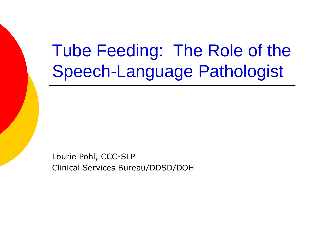# Tube Feeding: The Role of the Speech-Language Pathologist

Lourie Pohl, CCC-SLP Clinical Services Bureau/DDSD/DOH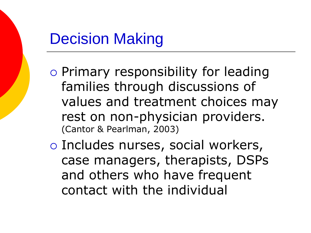# Decision Making

- o Primary responsibility for leading families through discussions of values and treatment choices may rest on non-physician providers. (Cantor & Pearlman, 2003)
- Includes nurses, social workers, case managers, therapists, DSPs and others who have frequent contact with the individual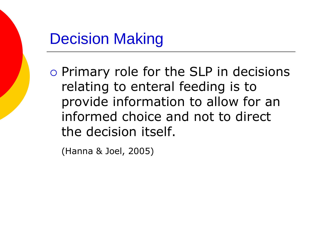# Decision Making

 Primary role for the SLP in decisions relating to enteral feeding is to provide information to allow for an informed choice and not to direct the decision itself.

(Hanna & Joel, 2005)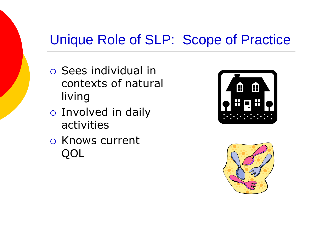#### Unique Role of SLP: Scope of Practice

- Sees individual in contexts of natural living
- Involved in daily activities
- o Knows current QOL



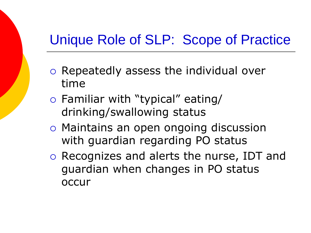#### Unique Role of SLP: Scope of Practice

- Repeatedly assess the individual over time
- Familiar with "typical" eating/ drinking/swallowing status
- Maintains an open ongoing discussion with guardian regarding PO status
- Recognizes and alerts the nurse, IDT and guardian when changes in PO status occur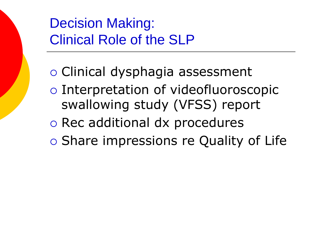Decision Making: Clinical Role of the SLP

- Clinical dysphagia assessment
- o Interpretation of videofluoroscopic swallowing study (VFSS) report
- o Rec additional dx procedures
- Share impressions re Quality of Life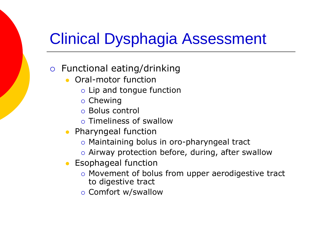# Clinical Dysphagia Assessment

#### Functional eating/drinking

- Oral-motor function
	- $\circ$  Lip and tongue function
	- o Chewing
	- Bolus control
	- Timeliness of swallow
- Pharyngeal function
	- Maintaining bolus in oro-pharyngeal tract
	- Airway protection before, during, after swallow
- **Esophageal function** 
	- o Movement of bolus from upper aerodigestive tract to digestive tract
	- o Comfort w/swallow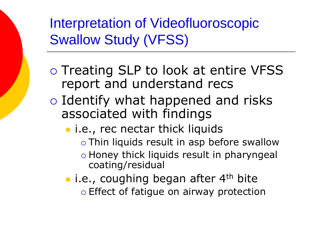Interpretation of Videofluoroscopic Swallow Study (VFSS)

- o Treating SLP to look at entire VFSS report and understand recs
- Identify what happened and risks associated with findings
	- **•** i.e., rec nectar thick liquids
		- Thin liquids result in asp before swallow
		- Honey thick liquids result in pharyngeal coating/residual
	- $\bullet$  i.e., coughing began after 4<sup>th</sup> bite  $\circ$  Effect of fatigue on airway protection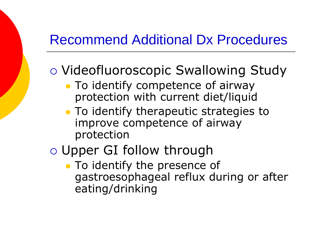#### Recommend Additional Dx Procedures

#### Videofluoroscopic Swallowing Study

- To identify competence of airway protection with current diet/liquid
- To identify therapeutic strategies to improve competence of airway protection
- Upper GI follow through
	- To identify the presence of gastroesophageal reflux during or after eating/drinking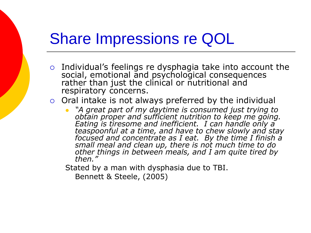#### Share Impressions re QOL

- Individual's feelings re dysphagia take into account the social, emotional and psychological consequences rather than just the clinical or nutritional and respiratory concerns.
- $\circ$  Oral intake is not always preferred by the individual
	- *"A great part of my daytime is consumed just trying to obtain proper and sufficient nutrition to keep me going. Eating is tiresome and inefficient. I can handle only a teaspoonful at a time, and have to chew slowly and stay focused and concentrate as I eat. By the time I finish a small meal and clean up, there is not much time to do other things in between meals, and I am quite tired by then."*

Stated by a man with dysphasia due to TBI.

Bennett & Steele, (2005)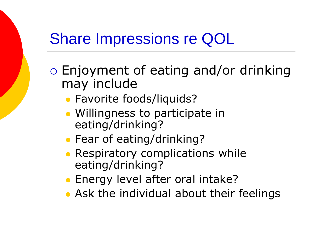## Share Impressions re QOL

- Enjoyment of eating and/or drinking may include
	- Favorite foods/liquids?
	- Willingness to participate in eating/drinking?
	- **Fear of eating/drinking?**
	- Respiratory complications while eating/drinking?
	- **Energy level after oral intake?**
	- Ask the individual about their feelings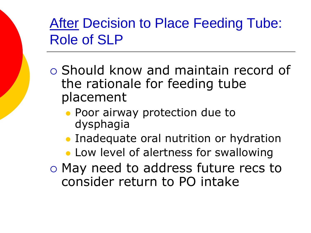#### After Decision to Place Feeding Tube: Role of SLP

- Should know and maintain record of the rationale for feeding tube placement
	- Poor airway protection due to dysphagia
	- **Inadequate oral nutrition or hydration**
	- **.** Low level of alertness for swallowing
- May need to address future recs to consider return to PO intake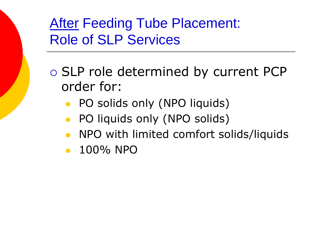After Feeding Tube Placement: Role of SLP Services

- SLP role determined by current PCP order for:
	- PO solids only (NPO liquids)
	- PO liquids only (NPO solids)
	- NPO with limited comfort solids/liquids
	- 100% NPO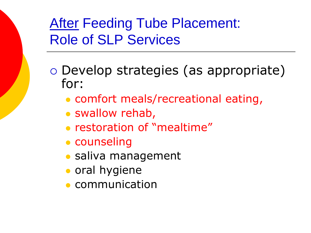#### **After Feeding Tube Placement:** Role of SLP Services

- Develop strategies (as appropriate) for:
	- comfort meals/recreational eating,
	- swallow rehab,
	- restoration of "mealtime"
	- counseling
	- saliva management
	- **o** oral hygiene
	- **communication**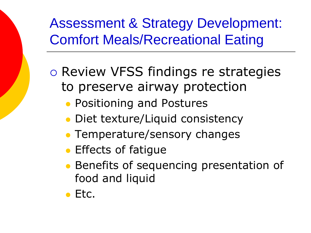## Assessment & Strategy Development: Comfort Meals/Recreational Eating

- o Review VFSS findings re strategies to preserve airway protection
	- **Positioning and Postures**
	- Diet texture/Liquid consistency
	- **Temperature/sensory changes**
	- **Effects of fatique**
	- **Benefits of sequencing presentation of** food and liquid
	- Etc.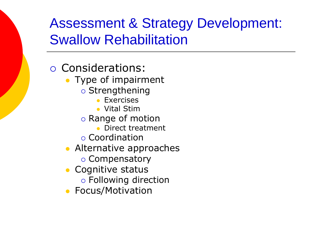#### Assessment & Strategy Development: Swallow Rehabilitation

- Considerations:
	- Type of impairment
		- o Strengthening
			- **Exercises**
			- Vital Stim
		- o Range of motion
			- **Direct treatment**
		- Coordination
	- **Alternative approaches** 
		- o Compensatory
	- Cognitive status
		- Following direction
	- **Focus/Motivation**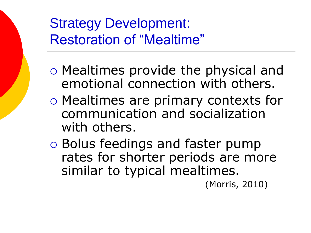#### Strategy Development: Restoration of "Mealtime"

- Mealtimes provide the physical and emotional connection with others.
- Mealtimes are primary contexts for communication and socialization with others.
- Bolus feedings and faster pump rates for shorter periods are more similar to typical mealtimes.

(Morris, 2010)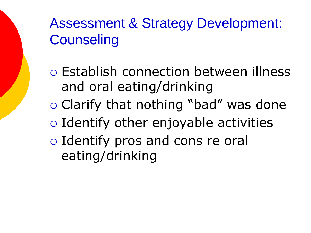### Assessment & Strategy Development: **Counseling**

- Establish connection between illness and oral eating/drinking
- $\circ$  Clarify that nothing "bad" was done
- Identify other enjoyable activities
- Identify pros and cons re oral eating/drinking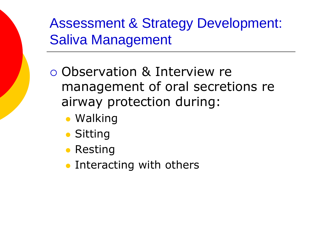Assessment & Strategy Development: Saliva Management

 Observation & Interview re management of oral secretions re airway protection during:

- Walking
- **Sitting**
- Resting
- Interacting with others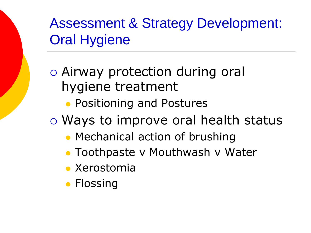Assessment & Strategy Development: Oral Hygiene

- Airway protection during oral hygiene treatment
	- **Positioning and Postures**
- Ways to improve oral health status
	- Mechanical action of brushing
	- **Toothpaste v Mouthwash v Water**
	- Xerostomia
	- **Flossing**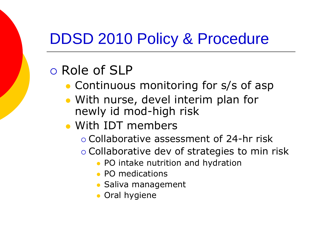# DDSD 2010 Policy & Procedure

#### Role of SLP

- Continuous monitoring for s/s of asp
- With nurse, devel interim plan for newly id mod-high risk
- With IDT members
	- Collaborative assessment of 24-hr risk
	- Collaborative dev of strategies to min risk
		- PO intake nutrition and hydration
		- PO medications
		- **Saliva management**
		- **Oral hygiene**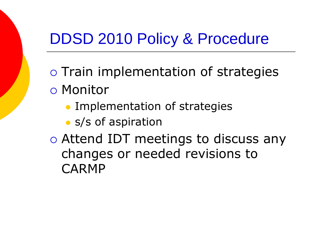# DDSD 2010 Policy & Procedure

 Train implementation of strategies Monitor

- **Implementation of strategies**
- s/s of aspiration

 Attend IDT meetings to discuss any changes or needed revisions to CARMP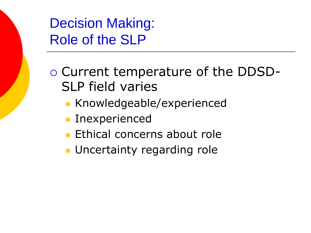Decision Making: Role of the SLP

- Current temperature of the DDSD-SLP field varies
	- Knowledgeable/experienced
	- **· Inexperienced**
	- **Ethical concerns about role**
	- Uncertainty regarding role